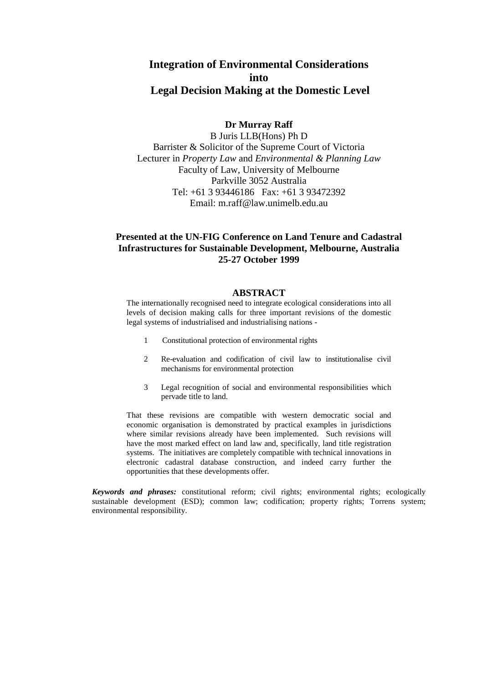# **Integration of Environmental Considerations into Legal Decision Making at the Domestic Level**

### **Dr Murray Raff**

B Juris LLB(Hons) Ph D Barrister & Solicitor of the Supreme Court of Victoria Lecturer in *Property Law* and *Environmental & Planning Law* Faculty of Law, University of Melbourne Parkville 3052 Australia Tel: +61 3 93446186 Fax: +61 3 93472392 Email: m.raff@law.unimelb.edu.au

## **Presented at the UN-FIG Conference on Land Tenure and Cadastral Infrastructures for Sustainable Development, Melbourne, Australia 25-27 October 1999**

#### **ABSTRACT**

The internationally recognised need to integrate ecological considerations into all levels of decision making calls for three important revisions of the domestic legal systems of industrialised and industrialising nations -

- 1 Constitutional protection of environmental rights
- 2 Re-evaluation and codification of civil law to institutionalise civil mechanisms for environmental protection
- 3 Legal recognition of social and environmental responsibilities which pervade title to land.

That these revisions are compatible with western democratic social and economic organisation is demonstrated by practical examples in jurisdictions where similar revisions already have been implemented. Such revisions will have the most marked effect on land law and, specifically, land title registration systems. The initiatives are completely compatible with technical innovations in electronic cadastral database construction, and indeed carry further the opportunities that these developments offer.

*Keywords and phrases:* constitutional reform; civil rights; environmental rights; ecologically sustainable development (ESD); common law; codification; property rights; Torrens system; environmental responsibility.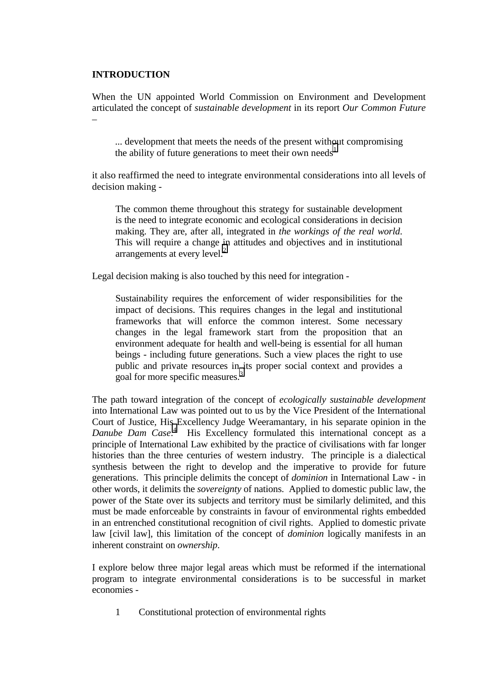## **INTRODUCTION**

When the UN appointed World Commission on Environment and Development articulated the concept of *sustainable development* in its report *Our Common Future* –

... development that meets the needs of the present without compromising the ability of future generations to meet their own needs<sup>[1](#page-9-0)</sup>

it also reaffirmed the need to integrate environmental considerations into all levels of decision making -

The common theme throughout this strategy for sustainable development is the need to integrate economic and ecological considerations in decision making. They are, after all, integrated in *the workings of the real world*. This will require a change in attitudes and objectives and in institutional arrangements at every level. $<sup>2</sup>$ </sup>

Legal decision making is also touched by this need for integration -

Sustainability requires the enforcement of wider responsibilities for the impact of decisions. This requires changes in the legal and institutional frameworks that will enforce the common interest. Some necessary changes in the legal framework start from the proposition that an environment adequate for health and well-being is essential for all human beings - including future generations. Such a view places the right to use public and private resources in its proper social context and provides a goal for more specific measures[.3](#page-9-0)

The path toward integration of the concept of *ecologically sustainable development* into International Law was pointed out to us by the Vice President of the International Court of Justice, His Excellency Judge Weeramantary, in his separate opinion in the *Danube Dam Case*. [4](#page-9-0) His Excellency formulated this international concept as a principle of International Law exhibited by the practice of civilisations with far longer histories than the three centuries of western industry. The principle is a dialectical synthesis between the right to develop and the imperative to provide for future generations. This principle delimits the concept of *dominion* in International Law - in other words, it delimits the *sovereignty* of nations. Applied to domestic public law, the power of the State over its subjects and territory must be similarly delimited, and this must be made enforceable by constraints in favour of environmental rights embedded in an entrenched constitutional recognition of civil rights. Applied to domestic private law [civil law], this limitation of the concept of *dominion* logically manifests in an inherent constraint on *ownership*.

I explore below three major legal areas which must be reformed if the international program to integrate environmental considerations is to be successful in market economies -

1 Constitutional protection of environmental rights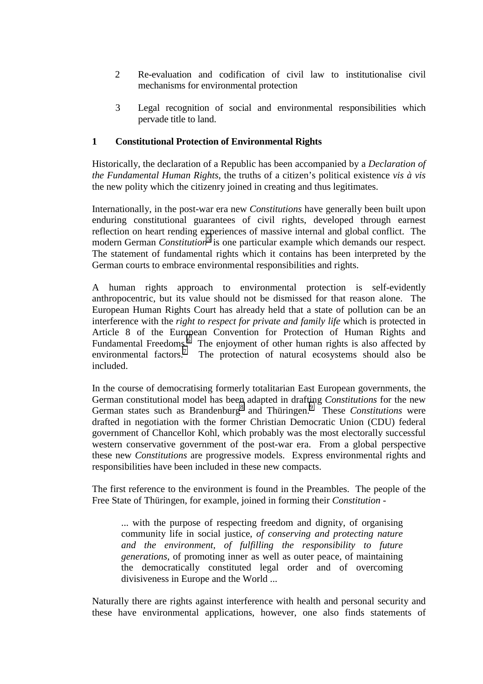- 2 Re-evaluation and codification of civil law to institutionalise civil mechanisms for environmental protection
- 3 Legal recognition of social and environmental responsibilities which pervade title to land.

## **1 Constitutional Protection of Environmental Rights**

Historically, the declaration of a Republic has been accompanied by a *Declaration of the Fundamental Human Rights*, the truths of a citizen's political existence *vis à vis* the new polity which the citizenry joined in creating and thus legitimates.

Internationally, in the post-war era new *Constitutions* have generally been built upon enduring constitutional guarantees of civil rights, developed through earnest reflection on heart rending experiences of massive internal and global conflict. The modern German *Constitution*<sup>[5](#page-9-0)</sup> is one particular example which demands our respect. The statement of fundamental rights which it contains has been interpreted by the German courts to embrace environmental responsibilities and rights.

A human rights approach to environmental protection is self-evidently anthropocentric, but its value should not be dismissed for that reason alone. The European Human Rights Court has already held that a state of pollution can be an interference with the *right to respect for private and family life* which is protected in Article 8 of the European Convention for Protection of Human Rights and Fundamental Freedoms.  $\delta$  The enjoyment of other human rights is also affected by environmental factors.<sup>[7](#page-9-0)</sup> The protection of natural ecosystems should also be included.

In the course of democratising formerly totalitarian East European governments, the German constitutional model has been adapted in drafting *Constitutions* for the new German states such as Brandenburg<sup>8</sup> and Thüringen.<sup>[9](#page-9-0)</sup> These *Constitutions* were drafted in negotiation with the former Christian Democratic Union (CDU) federal government of Chancellor Kohl, which probably was the most electorally successful western conservative government of the post-war era. From a global perspective these new *Constitutions* are progressive models. Express environmental rights and responsibilities have been included in these new compacts.

The first reference to the environment is found in the Preambles. The people of the Free State of Thüringen, for example, joined in forming their *Constitution* -

... with the purpose of respecting freedom and dignity, of organising community life in social justice, *of conserving and protecting nature and the environment, of fulfilling the responsibility to future generations*, of promoting inner as well as outer peace, of maintaining the democratically constituted legal order and of overcoming divisiveness in Europe and the World ...

Naturally there are rights against interference with health and personal security and these have environmental applications, however, one also finds statements of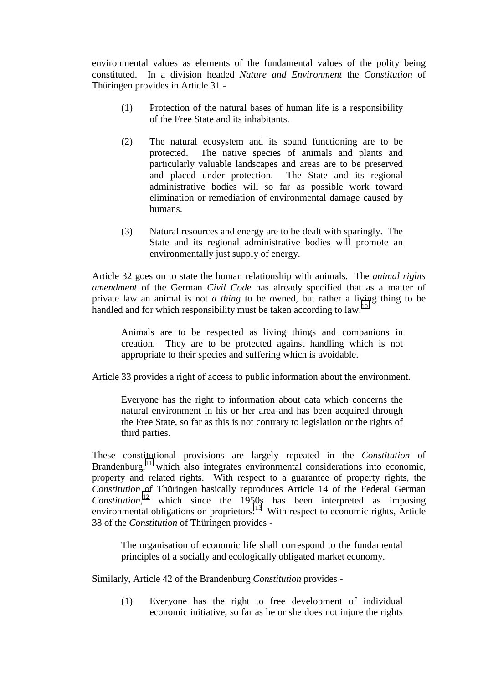environmental values as elements of the fundamental values of the polity being constituted. In a division headed *Nature and Environment* the *Constitution* of Thüringen provides in Article 31 -

- (1) Protection of the natural bases of human life is a responsibility of the Free State and its inhabitants.
- (2) The natural ecosystem and its sound functioning are to be protected. The native species of animals and plants and particularly valuable landscapes and areas are to be preserved and placed under protection. The State and its regional administrative bodies will so far as possible work toward elimination or remediation of environmental damage caused by humans.
- (3) Natural resources and energy are to be dealt with sparingly. The State and its regional administrative bodies will promote an environmentally just supply of energy.

Article 32 goes on to state the human relationship with animals. The *animal rights amendment* of the German *Civil Code* has already specified that as a matter of private law an animal is not *a thing* to be owned, but rather a living thing to be handled and for which responsibility must be taken according to  $law$ <sup>[10](#page-9-0)</sup>

Animals are to be respected as living things and companions in creation. They are to be protected against handling which is not appropriate to their species and suffering which is avoidable.

Article 33 provides a right of access to public information about the environment.

Everyone has the right to information about data which concerns the natural environment in his or her area and has been acquired through the Free State, so far as this is not contrary to legislation or the rights of third parties.

These constitutional provisions are largely repeated in the *Constitution* of Brandenburg, $^{11}$  which also integrates environmental considerations into economic, property and related rights. With respect to a guarantee of property rights, the *Constitution* of Thüringen basically reproduces Article 14 of the Federal German *Constitution*, [12](#page-9-0) which since the 1950s has been interpreted as imposing environmental obligations on proprietors.<sup>[13](#page-9-0)</sup> With respect to economic rights, Article 38 of the *Constitution* of Thüringen provides -

The organisation of economic life shall correspond to the fundamental principles of a socially and ecologically obligated market economy.

Similarly, Article 42 of the Brandenburg *Constitution* provides -

(1) Everyone has the right to free development of individual economic initiative, so far as he or she does not injure the rights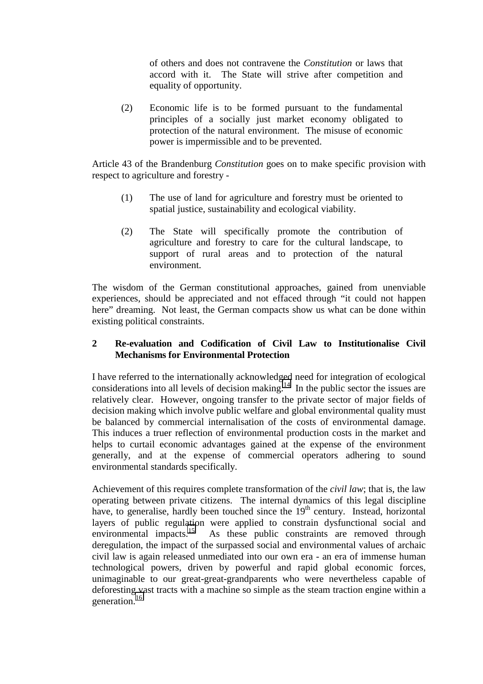of others and does not contravene the *Constitution* or laws that accord with it. The State will strive after competition and equality of opportunity.

(2) Economic life is to be formed pursuant to the fundamental principles of a socially just market economy obligated to protection of the natural environment. The misuse of economic power is impermissible and to be prevented.

Article 43 of the Brandenburg *Constitution* goes on to make specific provision with respect to agriculture and forestry -

- (1) The use of land for agriculture and forestry must be oriented to spatial justice, sustainability and ecological viability.
- (2) The State will specifically promote the contribution of agriculture and forestry to care for the cultural landscape, to support of rural areas and to protection of the natural environment.

The wisdom of the German constitutional approaches, gained from unenviable experiences, should be appreciated and not effaced through "it could not happen here" dreaming. Not least, the German compacts show us what can be done within existing political constraints.

## **2 Re-evaluation and Codification of Civil Law to Institutionalise Civil Mechanisms for Environmental Protection**

I have referred to the internationally acknowledged need for integration of ecological considerations into all levels of decision making.<sup>14</sup> In the public sector the issues are relatively clear. However, ongoing transfer to the private sector of major fields of decision making which involve public welfare and global environmental quality must be balanced by commercial internalisation of the costs of environmental damage. This induces a truer reflection of environmental production costs in the market and helps to curtail economic advantages gained at the expense of the environment generally, and at the expense of commercial operators adhering to sound environmental standards specifically.

Achievement of this requires complete transformation of the *civil law*; that is, the law operating between private citizens. The internal dynamics of this legal discipline have, to generalise, hardly been touched since the 19<sup>th</sup> century. Instead, horizontal layers of public regulation were applied to constrain dysfunctional social and environmental impacts.<sup>15</sup> As these public constraints are removed through As these public constraints are removed through deregulation, the impact of the surpassed social and environmental values of archaic civil law is again released unmediated into our own era - an era of immense human technological powers, driven by powerful and rapid global economic forces, unimaginable to our great-great-grandparents who were nevertheless capable of deforesting vast tracts with a machine so simple as the steam traction engine within a generation.<sup>[16](#page-9-0)</sup>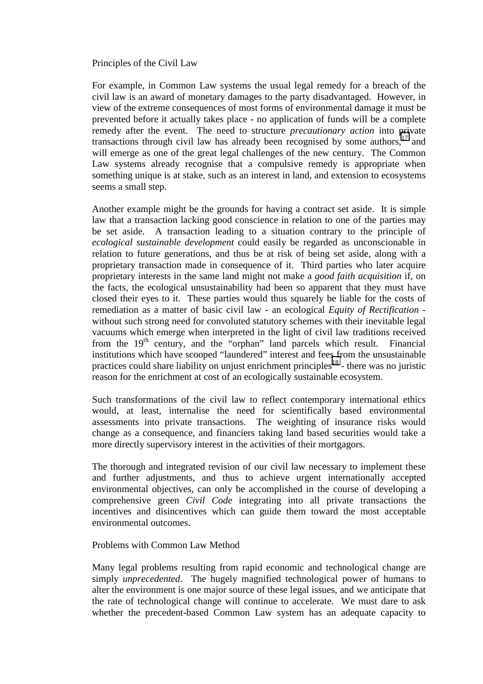## Principles of the Civil Law

For example, in Common Law systems the usual legal remedy for a breach of the civil law is an award of monetary damages to the party disadvantaged. However, in view of the extreme consequences of most forms of environmental damage it must be prevented before it actually takes place - no application of funds will be a complete remedy after the event. The need to structure *precautionary action* into private transactions through civil law has already been recognised by some authors,  $17$  and will emerge as one of the great legal challenges of the new century. The Common Law systems already recognise that a compulsive remedy is appropriate when something unique is at stake, such as an interest in land, and extension to ecosystems seems a small step.

Another example might be the grounds for having a contract set aside. It is simple law that a transaction lacking good conscience in relation to one of the parties may be set aside. A transaction leading to a situation contrary to the principle of *ecological sustainable development* could easily be regarded as unconscionable in relation to future generations, and thus be at risk of being set aside, along with a proprietary transaction made in consequence of it. Third parties who later acquire proprietary interests in the same land might not make a *good faith acquisition* if, on the facts, the ecological unsustainability had been so apparent that they must have closed their eyes to it. These parties would thus squarely be liable for the costs of remediation as a matter of basic civil law - an ecological *Equity of Rectification* without such strong need for convoluted statutory schemes with their inevitable legal vacuums which emerge when interpreted in the light of civil law traditions received from the  $19<sup>th</sup>$  century, and the "orphan" land parcels which result. Financial institutions which have scooped "laundered" interest and fees from the unsustainable practices could share liability on unjust enrichment principles<sup>18</sup> - there was no juristic reason for the enrichment at cost of an ecologically sustainable ecosystem.

Such transformations of the civil law to reflect contemporary international ethics would, at least, internalise the need for scientifically based environmental assessments into private transactions. The weighting of insurance risks would change as a consequence, and financiers taking land based securities would take a more directly supervisory interest in the activities of their mortgagors.

The thorough and integrated revision of our civil law necessary to implement these and further adjustments, and thus to achieve urgent internationally accepted environmental objectives, can only be accomplished in the course of developing a comprehensive green *Civil Code* integrating into all private transactions the incentives and disincentives which can guide them toward the most acceptable environmental outcomes.

### Problems with Common Law Method

Many legal problems resulting from rapid economic and technological change are simply *unprecedented*. The hugely magnified technological power of humans to alter the environment is one major source of these legal issues, and we anticipate that the rate of technological change will continue to accelerate. We must dare to ask whether the precedent-based Common Law system has an adequate capacity to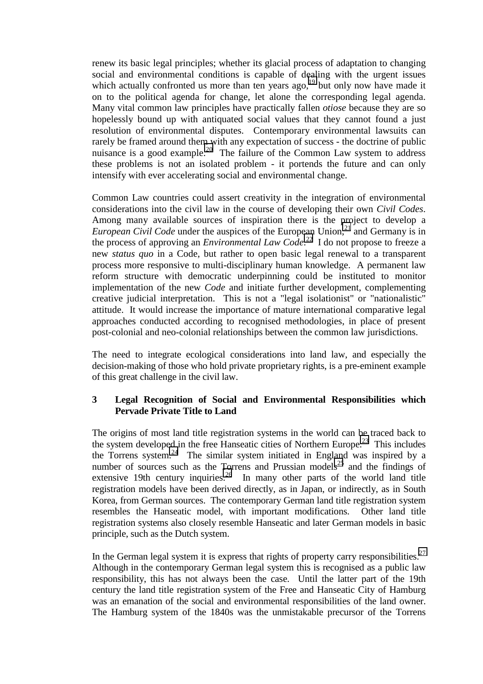renew its basic legal principles; whether its glacial process of adaptation to changing social and environmental conditions is capable of dealing with the urgent issues which actually confronted us more than ten years ago,<sup>19</sup> but only now have made it on to the political agenda for change, let alone the corresponding legal agenda. Many vital common law principles have practically fallen *otiose* because they are so hopelessly bound up with antiquated social values that they cannot found a just resolution of environmental disputes. Contemporary environmental lawsuits can rarely be framed around them with any expectation of success - the doctrine of public nuisance is a good example.<sup>20</sup> The failure of the Common Law system to address these problems is not an isolated problem - it portends the future and can only intensify with ever accelerating social and environmental change.

Common Law countries could assert creativity in the integration of environmental considerations into the civil law in the course of developing their own *Civil Codes*. Among many available sources of inspiration there is the project to develop a *European Civil Code* under the auspices of the European Union,<sup>[21](#page-9-0)</sup> and Germany is in the process of approving an *Environmental Law Code*. [22](#page-9-0) I do not propose to freeze a new *status quo* in a Code, but rather to open basic legal renewal to a transparent process more responsive to multi-disciplinary human knowledge. A permanent law reform structure with democratic underpinning could be instituted to monitor implementation of the new *Code* and initiate further development, complementing creative judicial interpretation. This is not a "legal isolationist" or "nationalistic" attitude. It would increase the importance of mature international comparative legal approaches conducted according to recognised methodologies, in place of present post-colonial and neo-colonial relationships between the common law jurisdictions.

The need to integrate ecological considerations into land law, and especially the decision-making of those who hold private proprietary rights, is a pre-eminent example of this great challenge in the civil law.

## **3 Legal Recognition of Social and Environmental Responsibilities which Pervade Private Title to Land**

The origins of most land title registration systems in the world can be traced back to the system developed in the free Hanseatic cities of Northern Europe.<sup>23</sup> This includes the Torrens system.<sup>24</sup> The similar system initiated in England was inspired by a number of sources such as the Torrens and Prussian models<sup>25</sup> and the findings of extensive 19th century inquiries.  $26$  In many other parts of the world land title registration models have been derived directly, as in Japan, or indirectly, as in South Korea, from German sources. The contemporary German land title registration system resembles the Hanseatic model, with important modifications. Other land title registration systems also closely resemble Hanseatic and later German models in basic principle, such as the Dutch system.

In the German legal system it is express that rights of property carry responsibilities.<sup>27</sup> Although in the contemporary German legal system this is recognised as a public law responsibility, this has not always been the case. Until the latter part of the 19th century the land title registration system of the Free and Hanseatic City of Hamburg was an emanation of the social and environmental responsibilities of the land owner. The Hamburg system of the 1840s was the unmistakable precursor of the Torrens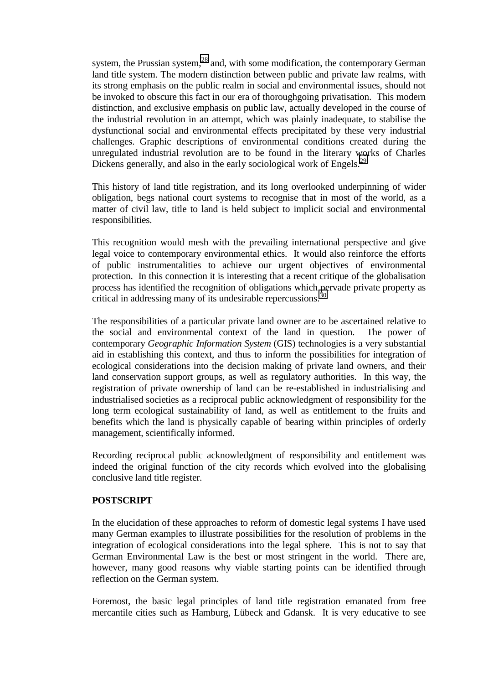system, the Prussian system,<sup>28</sup> and, with some modification, the contemporary German land title system. The modern distinction between public and private law realms, with its strong emphasis on the public realm in social and environmental issues, should not be invoked to obscure this fact in our era of thoroughgoing privatisation. This modern distinction, and exclusive emphasis on public law, actually developed in the course of the industrial revolution in an attempt, which was plainly inadequate, to stabilise the dysfunctional social and environmental effects precipitated by these very industrial challenges. Graphic descriptions of environmental conditions created during the unregulated industrial revolution are to be found in the literary works of Charles Dickens generally, and also in the early sociological work of Engels.<sup>29</sup>

This history of land title registration, and its long overlooked underpinning of wider obligation, begs national court systems to recognise that in most of the world, as a matter of civil law, title to land is held subject to implicit social and environmental responsibilities.

This recognition would mesh with the prevailing international perspective and give legal voice to contemporary environmental ethics. It would also reinforce the efforts of public instrumentalities to achieve our urgent objectives of environmental protection. In this connection it is interesting that a recent critique of the globalisation process has identified the recognition of obligations which pervade private property as critical in addressing many of its undesirable repercussions.<sup>3</sup>

The responsibilities of a particular private land owner are to be ascertained relative to the social and environmental context of the land in question. The power of contemporary *Geographic Information System* (GIS) technologies is a very substantial aid in establishing this context, and thus to inform the possibilities for integration of ecological considerations into the decision making of private land owners, and their land conservation support groups, as well as regulatory authorities. In this way, the registration of private ownership of land can be re-established in industrialising and industrialised societies as a reciprocal public acknowledgment of responsibility for the long term ecological sustainability of land, as well as entitlement to the fruits and benefits which the land is physically capable of bearing within principles of orderly management, scientifically informed.

Recording reciprocal public acknowledgment of responsibility and entitlement was indeed the original function of the city records which evolved into the globalising conclusive land title register.

## **POSTSCRIPT**

In the elucidation of these approaches to reform of domestic legal systems I have used many German examples to illustrate possibilities for the resolution of problems in the integration of ecological considerations into the legal sphere. This is not to say that German Environmental Law is the best or most stringent in the world. There are, however, many good reasons why viable starting points can be identified through reflection on the German system.

Foremost, the basic legal principles of land title registration emanated from free mercantile cities such as Hamburg, Lübeck and Gdansk. It is very educative to see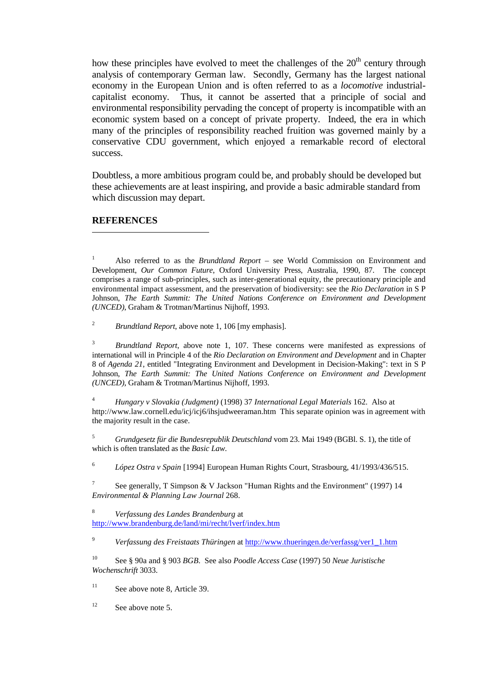how these principles have evolved to meet the challenges of the  $20<sup>th</sup>$  century through analysis of contemporary German law. Secondly, Germany has the largest national economy in the European Union and is often referred to as a *locomotive* industrialcapitalist economy. Thus, it cannot be asserted that a principle of social and environmental responsibility pervading the concept of property is incompatible with an economic system based on a concept of private property. Indeed, the era in which many of the principles of responsibility reached fruition was governed mainly by a conservative CDU government, which enjoyed a remarkable record of electoral success.

Doubtless, a more ambitious program could be, and probably should be developed but these achievements are at least inspiring, and provide a basic admirable standard from which discussion may depart.

### **REFERENCES**

 $\overline{\phantom{a}}$ 

<sup>3</sup> *Brundtland Report*, above note 1, 107. These concerns were manifested as expressions of international will in Principle 4 of the *Rio Declaration on Environment and Development* and in Chapter 8 of *Agenda 21*, entitled "Integrating Environment and Development in Decision-Making": text in S P Johnson, *The Earth Summit: The United Nations Conference on Environment and Development (UNCED)*, Graham & Trotman/Martinus Nijhoff, 1993.

<sup>4</sup> *Hungary v Slovakia (Judgment)* (1998) 37 *International Legal Materials* 162. Also at http://www.law.cornell.edu/icj/icj6/ihsjudweeraman.htm This separate opinion was in agreement with the majority result in the case.

<sup>5</sup> *Grundgesetz für die Bundesrepublik Deutschland* vom 23. Mai 1949 (BGBl. S. 1), the title of which is often translated as the *Basic Law*.

<sup>6</sup> *López Ostra v Spain* [1994] European Human Rights Court, Strasbourg, 41/1993/436/515.

7 See generally, T Simpson & V Jackson "Human Rights and the Environment" (1997) 14 *Environmental & Planning Law Journal* 268.

<sup>8</sup> *Verfassung des Landes Brandenburg* at http://www.brandenburg.de/land/mi/recht/lverf/index.htm

<sup>9</sup> *Verfassung des Freistaats Thüringen* at http://www.thueringen.de/verfassg/ver1\_1.htm

10 See § 90a and § 903 *BGB*. See also *Poodle Access Case* (1997) 50 *Neue Juristische Wochenschrift* 3033.

 $11$  See above note 8, Article 39.

 $12$  See above note 5.

<sup>1</sup> Also referred to as the *Brundtland Report* – see World Commission on Environment and Development, *Our Common Future*, Oxford University Press, Australia, 1990, 87. The concept comprises a range of sub-principles, such as inter-generational equity, the precautionary principle and environmental impact assessment, and the preservation of biodiversity: see the *Rio Declaration* in S P Johnson, *The Earth Summit: The United Nations Conference on Environment and Development (UNCED)*, Graham & Trotman/Martinus Nijhoff, 1993.

<sup>2</sup> *Brundtland Report*, above note 1, 106 [my emphasis].